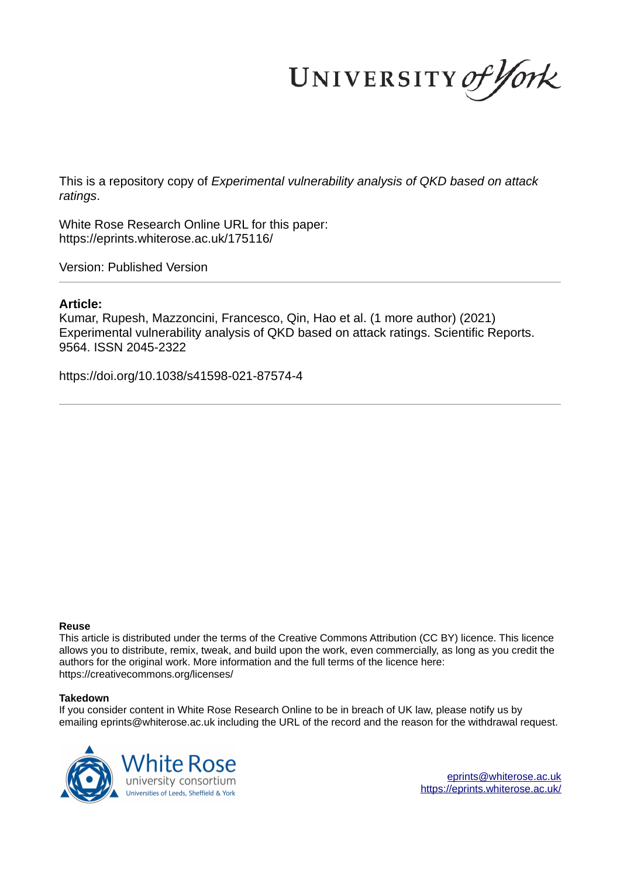UNIVERSITY of York

This is a repository copy of *Experimental vulnerability analysis of QKD based on attack ratings*.

White Rose Research Online URL for this paper: https://eprints.whiterose.ac.uk/175116/

Version: Published Version

## **Article:**

Kumar, Rupesh, Mazzoncini, Francesco, Qin, Hao et al. (1 more author) (2021) Experimental vulnerability analysis of QKD based on attack ratings. Scientific Reports. 9564. ISSN 2045-2322

https://doi.org/10.1038/s41598-021-87574-4

### **Reuse**

This article is distributed under the terms of the Creative Commons Attribution (CC BY) licence. This licence allows you to distribute, remix, tweak, and build upon the work, even commercially, as long as you credit the authors for the original work. More information and the full terms of the licence here: https://creativecommons.org/licenses/

### **Takedown**

If you consider content in White Rose Research Online to be in breach of UK law, please notify us by emailing eprints@whiterose.ac.uk including the URL of the record and the reason for the withdrawal request.

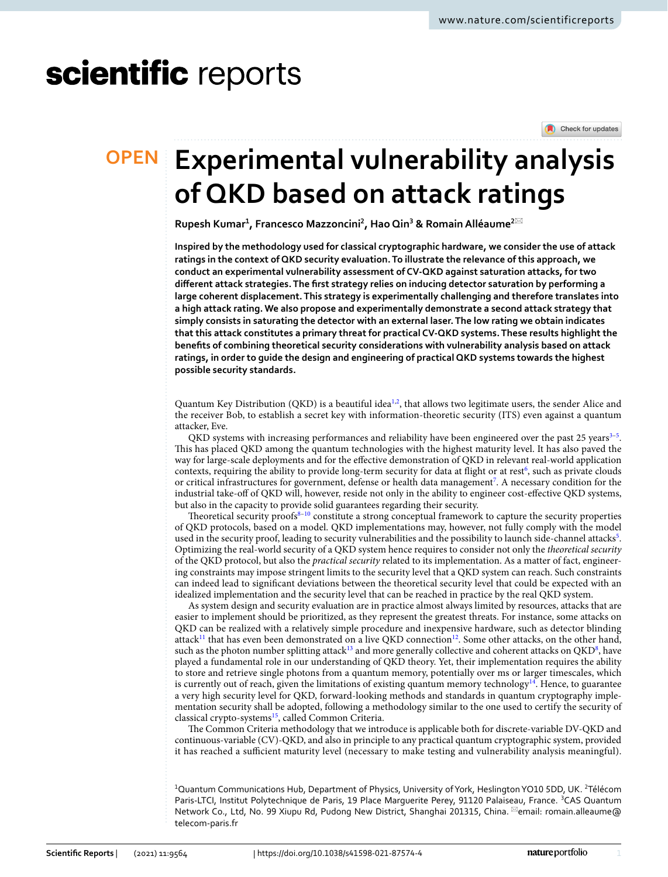# scientific reports

Check for updates

## **Experimental vulnerability analysis OPEN of QKD based on attack ratings**

**Rupesh Kumar<sup>1</sup> , Francesco Mazzoncini<sup>2</sup> , Hao Qin<sup>3</sup> & Romain Alléaume<sup>2</sup>**\*

**Inspired by the methodology used for classical cryptographic hardware, we consider the use of attack ratings in the context of QKD security evaluation. To illustrate the relevance of this approach, we conduct an experimental vulnerability assessment of CV-QKD against saturation attacks, for two different attack strategies. The first strategy relies on inducing detector saturation by performing a large coherent displacement. This strategy is experimentally challenging and therefore translates into a high attack rating. We also propose and experimentally demonstrate a second attack strategy that simply consists in saturating the detector with an external laser. The low rating we obtain indicates that this attack constitutes a primary threat for practical CV-QKD systems. These results highlight the benefits of combining theoretical security considerations with vulnerability analysis based on attack ratings, in order to guide the design and engineering of practical QKD systems towards the highest possible security standards.**

Quantum Key Distribution (QKD) is a beautiful idea $^{1,2}$  $^{1,2}$  $^{1,2}$  $^{1,2}$ , that allows two legitimate users, the sender Alice and the receiver Bob, to establish a secret key with information-theoretic security (ITS) even against a quantum attacker, Eve.

QKD systems with increasing performances and reliability have been engineered over the past 25 years $^{3-5}$  $^{3-5}$  $^{3-5}$ . This has placed QKD among the quantum technologies with the highest maturity level. It has also paved the way for large-scale deployments and for the effective demonstration of QKD in relevant real-world application contexts, requiring the ability to provide long-term security for data at flight or at rest<sup>[6](#page-11-4)</sup>, such as private clouds or critical infrastructures for government, defense or health data management<sup>[7](#page-11-5)</sup>. A necessary condition for the industrial take-off of QKD will, however, reside not only in the ability to engineer cost-effective QKD systems, but also in the capacity to provide solid guarantees regarding their security.

Theoretical security proofs<sup>[8](#page-11-6)-10</sup> constitute a strong conceptual framework to capture the security properties of QKD protocols, based on a model. QKD implementations may, however, not fully comply with the model used in the security proof, leading to security vulnerabilities and the possibility to launch side-channel attacks<sup>[5](#page-11-3)</sup>. Optimizing the real-world security of a QKD system hence requires to consider not only the theoretical security of the QKD protocol, but also the practical security related to its implementation. As a matter of fact, engineering constraints may impose stringent limits to the security level that a QKD system can reach. Such constraints can indeed lead to significant deviations between the theoretical security level that could be expected with an idealized implementation and the security level that can be reached in practice by the real QKD system.

As system design and security evaluation are in practice almost always limited by resources, attacks that are easier to implement should be prioritized, as they represent the greatest threats. For instance, some attacks on QKD can be realized with a relatively simple procedure and inexpensive hardware, such as detector blinding attack<sup>[11](#page-11-8)</sup> that has even been demonstrated on a live QKD connection<sup>[12](#page-11-9)</sup>. Some other attacks, on the other hand, such as the photon number splitting attack<sup>[13](#page-11-10)</sup> and more generally collective and coherent attacks on QKD<sup>[8](#page-11-6)</sup>, have played a fundamental role in our understanding of QKD theory. Yet, their implementation requires the ability to store and retrieve single photons from a quantum memory, potentially over ms or larger timescales, which is currently out of reach, given the limitations of existing quantum memory technology<sup>[14](#page-11-11)</sup>. Hence, to guarantee a very high security level for QKD, forward-looking methods and standards in quantum cryptography implementation security shall be adopted, following a methodology similar to the one used to certify the security of classical crypto-systems<sup>[15](#page-11-12)</sup>, called Common Criteria.

The Common Criteria methodology that we introduce is applicable both for discrete-variable DV-QKD and continuous-variable (CV)-QKD, and also in principle to any practical quantum cryptographic system, provided it has reached a sufficient maturity level (necessary to make testing and vulnerability analysis meaningful).

<sup>1</sup>Quantum Communications Hub, Department of Physics, University of York, Heslington YO10 5DD, UK. <sup>2</sup>Télécom Paris-LTCI, Institut Polytechnique de Paris, 19 Place Marquerite Perey, 91120 Palaiseau, France. <sup>3</sup>CAS Quantum Network Co., Ltd, No. 99 Xiupu Rd, Pudong New District, Shanghai 201315, China. <sup>[2]</sup>email: romain.alleaume@ telecom-paris.fr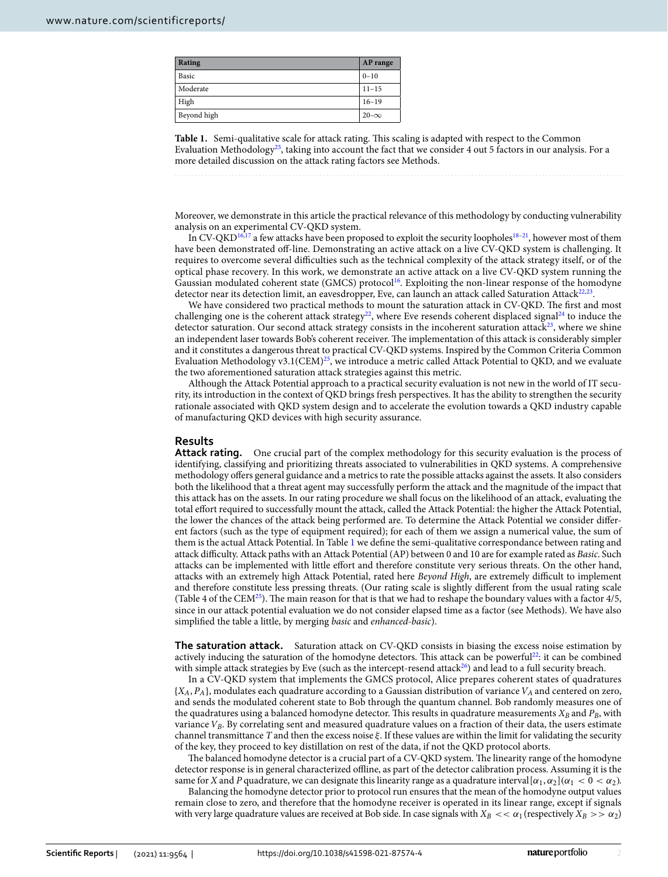| Rating      | AP range    |
|-------------|-------------|
| Basic       | $0 - 10$    |
| Moderate    | $11 - 15$   |
| High        | $16 - 19$   |
| Beyond high | $20-\infty$ |

<span id="page-2-0"></span>**Table 1.** Semi-qualitative scale for attack rating. This scaling is adapted with respect to the Common Evaluation Methodology<sup>[25](#page-11-20)</sup>, taking into account the fact that we consider 4 out 5 factors in our analysis. For a more detailed discussion on the attack rating factors see Methods.

Moreover, we demonstrate in this article the practical relevance of this methodology by conducting vulnerability analysis on an experimental CV-QKD system.

In CV-QKD<sup>[16](#page-11-13)[,17](#page-11-14)</sup> a few attacks have been proposed to exploit the security loopholes<sup>[18–](#page-11-15)[21](#page-11-16)</sup>, however most of them have been demonstrated off-line. Demonstrating an active attack on a live CV-QKD system is challenging. It requires to overcome several difficulties such as the technical complexity of the attack strategy itself, or of the optical phase recovery. In this work, we demonstrate an active attack on a live CV-QKD system running the Gaussian modulated coherent state (GMCS) protocol<sup>[16](#page-11-13)</sup>. Exploiting the non-linear response of the homodyne detector near its detection limit, an eavesdropper, Eve, can launch an attack called Saturation Attack $^{22,23}$  $^{22,23}$  $^{22,23}$  $^{22,23}$ .

We have considered two practical methods to mount the saturation attack in CV-QKD. The first and most challenging one is the coherent attack strategy<sup>[22](#page-11-17)</sup>, where Eve resends coherent displaced signal<sup>[24](#page-11-19)</sup> to induce the detector saturation. Our second attack strategy consists in the incoherent saturation attack<sup>[23](#page-11-18)</sup>, where we shine an independent laser towards Bob's coherent receiver. The implementation of this attack is considerably simpler and it constitutes a dangerous threat to practical CV-QKD systems. Inspired by the Common Criteria Common Evaluation Methodology v3.1(CEM)<sup>[25](#page-11-20)</sup>, we introduce a metric called Attack Potential to QKD, and we evaluate the two aforementioned saturation attack strategies against this metric.

Although the Attack Potential approach to a practical security evaluation is not new in the world of IT security, its introduction in the context of QKD brings fresh perspectives. It has the ability to strengthen the security rationale associated with QKD system design and to accelerate the evolution towards a QKD industry capable of manufacturing QKD devices with high security assurance.

**Results Attack rating.** One crucial part of the complex methodology for this security evaluation is the process of identifying, classifying and prioritizing threats associated to vulnerabilities in QKD systems. A comprehensive methodology offers general guidance and a metrics to rate the possible attacks against the assets. It also considers both the likelihood that a threat agent may successfully perform the attack and the magnitude of the impact that this attack has on the assets. In our rating procedure we shall focus on the likelihood of an attack, evaluating the total effort required to successfully mount the attack, called the Attack Potential: the higher the Attack Potential, the lower the chances of the attack being performed are. To determine the Attack Potential we consider different factors (such as the type of equipment required); for each of them we assign a numerical value, the sum of them is the actual Attack Potential. In Table [1](#page-2-0) we define the semi-qualitative correspondance between rating and attack difficulty. Attack paths with an Attack Potential (AP) between 0 and 10 are for example rated as Basic. Such attacks can be implemented with little effort and therefore constitute very serious threats. On the other hand, attacks with an extremely high Attack Potential, rated here Beyond High, are extremely difficult to implement and therefore constitute less pressing threats. (Our rating scale is slightly different from the usual rating scale (Table 4 of the CEM<sup>[25](#page-11-20)</sup>). The main reason for that is that we had to reshape the boundary values with a factor  $4/5$ , since in our attack potential evaluation we do not consider elapsed time as a factor (see Methods). We have also simplified the table a little, by merging basic and enhanced-basic).

**The saturation attack.** Saturation attack on CV-QKD consists in biasing the excess noise estimation by actively inducing the saturation of the homodyne detectors. This attack can be powerful<sup>[22](#page-11-17)</sup>: it can be combined with simple attack strategies by Eve (such as the intercept-resend attack<sup>[26](#page-11-21)</sup>) and lead to a full security breach.

In a CV-QKD system that implements the GMCS protocol, Alice prepares coherent states of quadratures  ${X_A, P_A}$ , modulates each quadrature according to a Gaussian distribution of variance  $V_A$  and centered on zero, and sends the modulated coherent state to Bob through the quantum channel. Bob randomly measures one of the quadratures using a balanced homodyne detector. This results in quadrature measurements  $X_B$  and  $P_B$ , with variance  $V_B$ . By correlating sent and measured quadrature values on a fraction of their data, the users estimate channel transmittance  $T$  and then the excess noise  $\xi$ . If these values are within the limit for validating the security of the key, they proceed to key distillation on rest of the data, if not the QKD protocol aborts.

The balanced homodyne detector is a crucial part of a CV-QKD system. The linearity range of the homodyne detector response is in general characterized offline, as part of the detector calibration process. Assuming it is the same for X and P quadrature, we can designate this linearity range as a quadrature interval  $[\alpha_1, \alpha_2]$  ( $\alpha_1 < 0 < \alpha_2$ ).

Balancing the homodyne detector prior to protocol run ensures that the mean of the homodyne output values remain close to zero, and therefore that the homodyne receiver is operated in its linear range, except if signals with very large quadrature values are received at Bob side. In case signals with  $X_B \ll \alpha_1$  (respectively  $X_B \gg \alpha_2$ )

2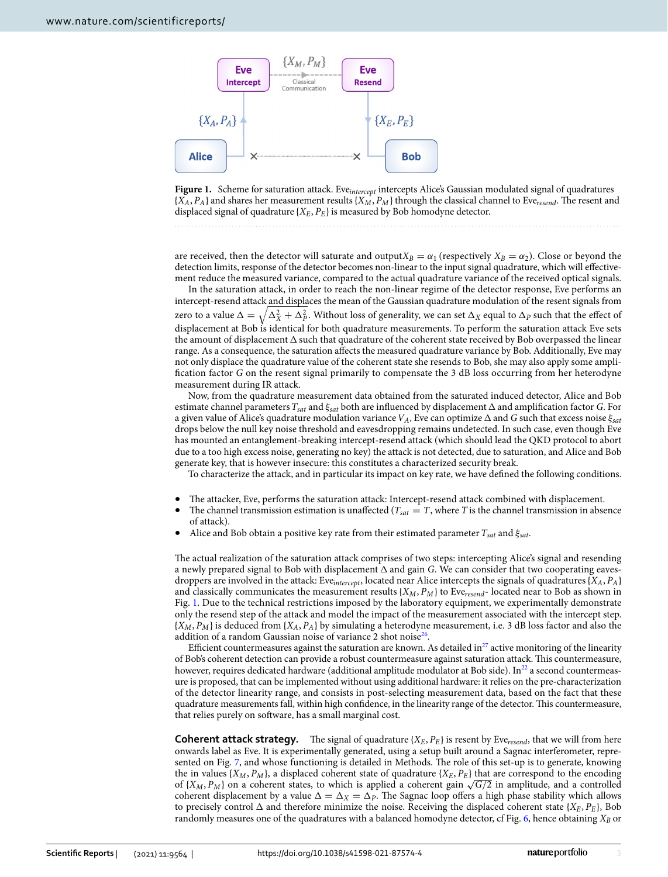

<span id="page-3-0"></span>

are received, then the detector will saturate and output  $X_B = \alpha_1$  (respectively  $X_B = \alpha_2$ ). Close or beyond the detection limits, response of the detector becomes non-linear to the input signal quadrature, which will effectivement reduce the measured variance, compared to the actual quadrature variance of the received optical signals.

In the saturation attack, in order to reach the non-linear regime of the detector response, Eve performs an intercept-resend attack and displaces the mean of the Gaussian quadrature modulation of the resent signals from zero to a value  $\Delta=\sqrt{\Delta_X^2+\Delta_P^2}.$  Without loss of generality, we can set  $\Delta_X$  equal to  $\Delta_P$  such that the effect of displacement at Bob is identical for both quadrature measurements. To perform the saturation attack Eve sets the amount of displacement  $\Delta$  such that quadrature of the coherent state received by Bob overpassed the linear range. As a consequence, the saturation affects the measured quadrature variance by Bob. Additionally, Eve may not only displace the quadrature value of the coherent state she resends to Bob, she may also apply some amplification factor G on the resent signal primarily to compensate the 3 dB loss occurring from her heterodyne measurement during IR attack.

Now, from the quadrature measurement data obtained from the saturated induced detector, Alice and Bob estimate channel parameters  $T_{sat}$  and  $\xi_{sat}$  both are influenced by displacement  $\Delta$  and amplification factor G. For a given value of Alice's quadrature modulation variance  $V_A$ , Eve can optimize  $\Delta$  and G such that excess noise  $\xi_{sat}$ drops below the null key noise threshold and eavesdropping remains undetected. In such case, even though Eve has mounted an entanglement-breaking intercept-resend attack (which should lead the QKD protocol to abort due to a too high excess noise, generating no key) the attack is not detected, due to saturation, and Alice and Bob generate key, that is however insecure: this constitutes a characterized security break.

To characterize the attack, and in particular its impact on key rate, we have defined the following conditions.

- The attacker, Eve, performs the saturation attack: Intercept-resend attack combined with displacement.
- The channel transmission estimation is unaffected ( $T_{sat} = T$ , where T is the channel transmission in absence of attack).
- Alice and Bob obtain a positive key rate from their estimated parameter  $T_{sat}$  and  $\xi_{sat}$ .

The actual realization of the saturation attack comprises of two steps: intercepting Alice's signal and resending a newly prepared signal to Bob with displacement  $\Delta$  and gain G. We can consider that two cooperating eavesdroppers are involved in the attack: Eve<sub>intercept</sub>, located near Alice intercepts the signals of quadratures { $X_A$ ,  $P_A$ } and classically communicates the measurement results  $\{X_M, P_M\}$  to Eve<sub>resend</sub>- located near to Bob as shown in Fig. [1](#page-3-0). Due to the technical restrictions imposed by the laboratory equipment, we experimentally demonstrate only the resend step of the attack and model the impact of the measurement associated with the intercept step.  ${X_M, P_M}$  is deduced from  ${X_A, P_A}$  by simulating a heterodyne measurement, i.e. 3 dB loss factor and also the addition of a random Gaussian noise of variance 2 shot noise<sup>[26](#page-11-21)</sup>.

Efficient countermeasures against the saturation are known. As detailed in $^{27}$  $^{27}$  $^{27}$  active monitoring of the linearity of Bob's coherent detection can provide a robust countermeasure against saturation attack. This countermeasure, however, requires dedicated hardware (additional amplitude modulator at Bob side). In<sup>[22](#page-11-17)</sup> a second countermeasure is proposed, that can be implemented without using additional hardware: it relies on the pre-characterization of the detector linearity range, and consists in post-selecting measurement data, based on the fact that these quadrature measurements fall, within high confidence, in the linearity range of the detector. This countermeasure, that relies purely on software, has a small marginal cost.

**Coherent attack strategy.** The signal of quadrature  $\{X_E, P_E\}$  is resent by Eve<sub>resend</sub>, that we will from here onwards label as Eve. It is experimentally generated, using a setup built around a Sagnac interferometer, represented on Fig. [7](#page-10-0), and whose functioning is detailed in Methods. The role of this set-up is to generate, knowing the in values  $\{X_M, P_M\}$ , a displaced coherent state of quadrature  $\{X_E, P_E\}$  that are correspond to the encoding of {X<sub>M</sub>, P<sub>M</sub>} on a coherent states, to which is applied a coherent gain  $\sqrt{G/2}$  in amplitude, and a controlled coherent displacement by a value  $\Delta = \Delta_X = \Delta_P$ . The Sagnac loop offers a high phase stability which allows to precisely control  $\Delta$  and therefore minimize the noise. Receiving the displaced coherent state { $X_E, P_E$ }, Bob randomly measures one of the quadratures with a balanced homodyne detector, cf Fig. [6](#page-9-0), hence obtaining  $X_B$  or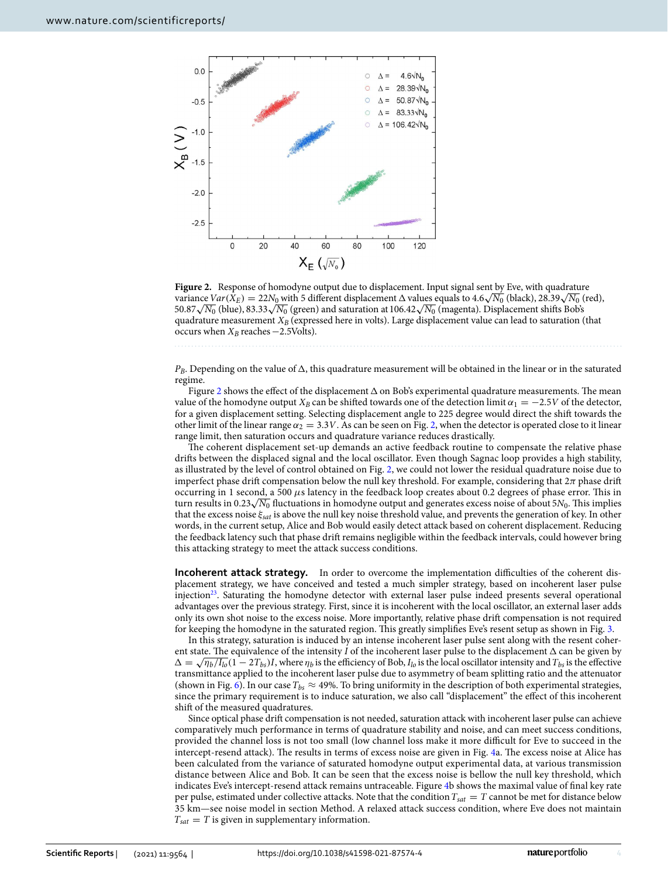

<span id="page-4-0"></span>**Figure 2.** Response of homodyne output due to displacement. Input signal sent by Eve, with quadrature variance  $Var(\hat{X}_E) = 22N_0$  with 5 different displacement  $\Delta$  values equals to 4.6 $\sqrt{N_0}$  (black), 28.39 $\sqrt{N_0}$  (red), 50.87√ $\overline{N_0}$  (blue), 83.33√ $\overline{N_0}$  (green) and saturation at 106.42√ $\overline{N_0}$  (magenta). Displacement shifts Bob's quadrature measurement  $X_B$  (expressed here in volts). Large displacement value can lead to saturation (that occurs when  $X_B$  reaches  $-2.5$ Volts).

 $P_B$ . Depending on the value of  $\Delta$ , this quadrature measurement will be obtained in the linear or in the saturated regime.

Figure [2](#page-4-0) shows the effect of the displacement  $\Delta$  on Bob's experimental quadrature measurements. The mean value of the homodyne output  $X_B$  can be shifted towards one of the detection limit  $\alpha_1 = -2.5V$  of the detector, for a given displacement setting. Selecting displacement angle to 225 degree would direct the shift towards the other limit of the linear range  $\alpha_2 = 3.3V$ . As can be seen on Fig. [2](#page-4-0), when the detector is operated close to it linear range limit, then saturation occurs and quadrature variance reduces drastically.

The coherent displacement set-up demands an active feedback routine to compensate the relative phase drifts between the displaced signal and the local oscillator. Even though Sagnac loop provides a high stability, as illustrated by the level of control obtained on Fig. [2](#page-4-0), we could not lower the residual quadrature noise due to imperfect phase drift compensation below the null key threshold. For example, considering that  $2\pi$  phase drift occurring in 1 second, a 500  $\mu$ s latency in the feedback loop creates about 0.2 degrees of phase error. This in turn results in 0.23 $\sqrt{N_0}$  fluctuations in homodyne output and generates excess noise of about 5 $N_0$ . This implies that the excess noise  $\xi_{sat}$  is above the null key noise threshold value, and prevents the generation of key. In other words, in the current setup, Alice and Bob would easily detect attack based on coherent displacement. Reducing the feedback latency such that phase drift remains negligible within the feedback intervals, could however bring this attacking strategy to meet the attack success conditions.

**Incoherent attack strategy.** In order to overcome the implementation difficulties of the coherent displacement strategy, we have conceived and tested a much simpler strategy, based on incoherent laser pulse injection<sup>[23](#page-11-18)</sup>. Saturating the homodyne detector with external laser pulse indeed presents several operational advantages over the previous strategy. First, since it is incoherent with the local oscillator, an external laser adds only its own shot noise to the excess noise. More importantly, relative phase drift compensation is not required for keeping the homodyne in the saturated region. This greatly simplifies Eve's resent setup as shown in Fig. [3.](#page-5-0)

In this strategy, saturation is induced by an intense incoherent laser pulse sent along with the resent coherent state. The equivalence of the intensity I of the incoherent laser pulse to the displacement  $\Delta$  can be given by  $\Delta = \sqrt{\eta_b/I_{lo}} (1 - 2T_{bs})I$ , where  $\eta_b$  is the efficiency of Bob,  $I_{lo}$  is the local oscillator intensity and  $T_{bs}$  is the effective transmittance applied to the incoherent laser pulse due to asymmetry of beam splitting ratio and the attenuator (shown in Fig. [6](#page-9-0)). In our case  $T_{bs} \approx 49\%$ . To bring uniformity in the description of both experimental strategies, since the primary requirement is to induce saturation, we also call "displacement" the effect of this incoherent shift of the measured quadratures.

Since optical phase drift compensation is not needed, saturation attack with incoherent laser pulse can achieve comparatively much performance in terms of quadrature stability and noise, and can meet success conditions, provided the channel loss is not too small (low channel loss make it more difficult for Eve to succeed in the intercept-resend attack). The results in terms of excess noise are given in Fig. [4a](#page-5-1). The excess noise at Alice has been calculated from the variance of saturated homodyne output experimental data, at various transmission distance between Alice and Bob. It can be seen that the excess noise is bellow the null key threshold, which indicates Eve's intercept-resend attack remains untraceable. Figure [4](#page-5-1)b shows the maximal value of final key rate per pulse, estimated under collective attacks. Note that the condition  $T_{sat} = T$  cannot be met for distance below 35 km—see noise model in section Method. A relaxed attack success condition, where Eve does not maintain  $T_{sat} = T$  is given in supplementary information.

4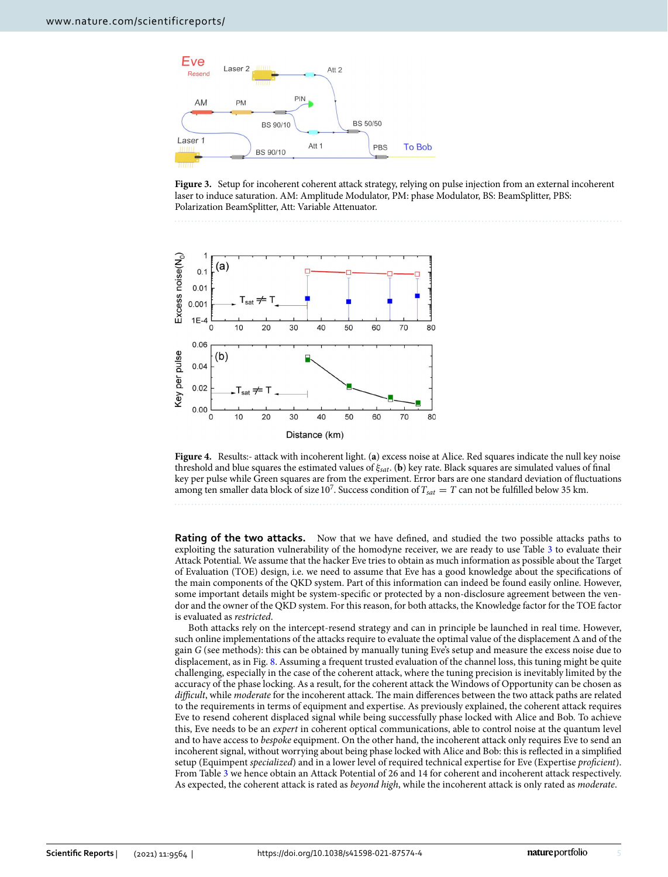

<span id="page-5-0"></span>



<span id="page-5-1"></span>**Figure 4.** Results:- attack with incoherent light. (**a**) excess noise at Alice. Red squares indicate the null key noise threshold and blue squares the estimated values of  $\xi_{sat}$ . (**b**) key rate. Black squares are simulated values of final key per pulse while Green squares are from the experiment. Error bars are one standard deviation of fluctuations among ten smaller data block of size 10<sup>7</sup>. Success condition of  $T_{sat} = T$  can not be fulfilled below 35 km.

**Rating of the two attacks.** Now that we have defined, and studied the two possible attacks paths to exploiting the saturation vulnerability of the homodyne receiver, we are ready to use Table [3](#page-8-0) to evaluate their Attack Potential. We assume that the hacker Eve tries to obtain as much information as possible about the Target of Evaluation (TOE) design, i.e. we need to assume that Eve has a good knowledge about the specifications of the main components of the QKD system. Part of this information can indeed be found easily online. However, some important details might be system-specific or protected by a non-disclosure agreement between the vendor and the owner of the QKD system. For this reason, for both attacks, the Knowledge factor for the TOE factor is evaluated as restricted.

Both attacks rely on the intercept-resend strategy and can in principle be launched in real time. However, such online implementations of the attacks require to evaluate the optimal value of the displacement  $\Delta$  and of the gain G (see methods): this can be obtained by manually tuning Eve's setup and measure the excess noise due to displacement, as in Fig. [8](#page-10-1). Assuming a frequent trusted evaluation of the channel loss, this tuning might be quite challenging, especially in the case of the coherent attack, where the tuning precision is inevitably limited by the accuracy of the phase locking. As a result, for the coherent attack the Windows of Opportunity can be chosen as difficult, while moderate for the incoherent attack. The main differences between the two attack paths are related to the requirements in terms of equipment and expertise. As previously explained, the coherent attack requires Eve to resend coherent displaced signal while being successfully phase locked with Alice and Bob. To achieve this, Eve needs to be an expert in coherent optical communications, able to control noise at the quantum level and to have access to bespoke equipment. On the other hand, the incoherent attack only requires Eve to send an incoherent signal, without worrying about being phase locked with Alice and Bob: this is reflected in a simplified setup (Equimpent specialized) and in a lower level of required technical expertise for Eve (Expertise proficient). From Table [3](#page-8-0) we hence obtain an Attack Potential of 26 and 14 for coherent and incoherent attack respectively. As expected, the coherent attack is rated as beyond high, while the incoherent attack is only rated as moderate.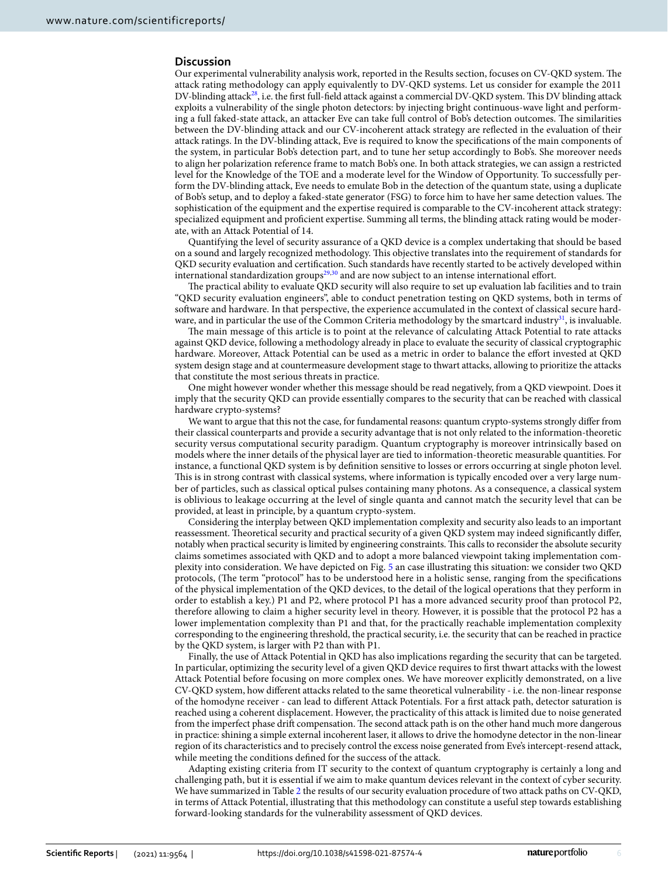#### **Discussion**

Our experimental vulnerability analysis work, reported in the Results section, focuses on CV-QKD system. The attack rating methodology can apply equivalently to DV-QKD systems. Let us consider for example the 2011 DV-blinding attack<sup>[28](#page-11-23)</sup>, i.e. the first full-field attack against a commercial DV-QKD system. This DV blinding attack exploits a vulnerability of the single photon detectors: by injecting bright continuous-wave light and performing a full faked-state attack, an attacker Eve can take full control of Bob's detection outcomes. The similarities between the DV-blinding attack and our CV-incoherent attack strategy are reflected in the evaluation of their attack ratings. In the DV-blinding attack, Eve is required to know the specifications of the main components of the system, in particular Bob's detection part, and to tune her setup accordingly to Bob's. She moreover needs to align her polarization reference frame to match Bob's one. In both attack strategies, we can assign a restricted level for the Knowledge of the TOE and a moderate level for the Window of Opportunity. To successfully perform the DV-blinding attack, Eve needs to emulate Bob in the detection of the quantum state, using a duplicate of Bob's setup, and to deploy a faked-state generator (FSG) to force him to have her same detection values. The sophistication of the equipment and the expertise required is comparable to the CV-incoherent attack strategy: specialized equipment and proficient expertise. Summing all terms, the blinding attack rating would be moderate, with an Attack Potential of 14.

Quantifying the level of security assurance of a QKD device is a complex undertaking that should be based on a sound and largely recognized methodology. This objective translates into the requirement of standards for QKD security evaluation and certification. Such standards have recently started to be actively developed within international standardization groups<sup>[29](#page-11-24),[30](#page-11-25)</sup> and are now subject to an intense international effort.

The practical ability to evaluate QKD security will also require to set up evaluation lab facilities and to train "QKD security evaluation engineers", able to conduct penetration testing on QKD systems, both in terms of software and hardware. In that perspective, the experience accumulated in the context of classical secure hard-ware, and in particular the use of the Common Criteria methodology by the smartcard industry<sup>[31](#page-11-26)</sup>, is invaluable.

The main message of this article is to point at the relevance of calculating Attack Potential to rate attacks against QKD device, following a methodology already in place to evaluate the security of classical cryptographic hardware. Moreover, Attack Potential can be used as a metric in order to balance the effort invested at QKD system design stage and at countermeasure development stage to thwart attacks, allowing to prioritize the attacks that constitute the most serious threats in practice.

One might however wonder whether this message should be read negatively, from a QKD viewpoint. Does it imply that the security QKD can provide essentially compares to the security that can be reached with classical hardware crypto-systems?

We want to argue that this not the case, for fundamental reasons: quantum crypto-systems strongly differ from their classical counterparts and provide a security advantage that is not only related to the information-theoretic security versus computational security paradigm. Quantum cryptography is moreover intrinsically based on models where the inner details of the physical layer are tied to information-theoretic measurable quantities. For instance, a functional QKD system is by definition sensitive to losses or errors occurring at single photon level. This is in strong contrast with classical systems, where information is typically encoded over a very large number of particles, such as classical optical pulses containing many photons. As a consequence, a classical system is oblivious to leakage occurring at the level of single quanta and cannot match the security level that can be provided, at least in principle, by a quantum crypto-system.

Considering the interplay between QKD implementation complexity and security also leads to an important reassessment. Theoretical security and practical security of a given QKD system may indeed significantly differ, notably when practical security is limited by engineering constraints. This calls to reconsider the absolute security claims sometimes associated with QKD and to adopt a more balanced viewpoint taking implementation complexity into consideration. We have depicted on Fig. [5](#page-7-0) an case illustrating this situation: we consider two QKD protocols, (The term "protocol" has to be understood here in a holistic sense, ranging from the specifications of the physical implementation of the QKD devices, to the detail of the logical operations that they perform in order to establish a key.) P1 and P2, where protocol P1 has a more advanced security proof than protocol P2, therefore allowing to claim a higher security level in theory. However, it is possible that the protocol P2 has a lower implementation complexity than P1 and that, for the practically reachable implementation complexity corresponding to the engineering threshold, the practical security, i.e. the security that can be reached in practice by the QKD system, is larger with P2 than with P1.

Finally, the use of Attack Potential in QKD has also implications regarding the security that can be targeted. In particular, optimizing the security level of a given QKD device requires to first thwart attacks with the lowest Attack Potential before focusing on more complex ones. We have moreover explicitly demonstrated, on a live CV-QKD system, how different attacks related to the same theoretical vulnerability - i.e. the non-linear response of the homodyne receiver - can lead to different Attack Potentials. For a first attack path, detector saturation is reached using a coherent displacement. However, the practicality of this attack is limited due to noise generated from the imperfect phase drift compensation. The second attack path is on the other hand much more dangerous in practice: shining a simple external incoherent laser, it allows to drive the homodyne detector in the non-linear region of its characteristics and to precisely control the excess noise generated from Eve's intercept-resend attack, while meeting the conditions defined for the success of the attack.

Adapting existing criteria from IT security to the context of quantum cryptography is certainly a long and challenging path, but it is essential if we aim to make quantum devices relevant in the context of cyber security. We have summarized in Table [2](#page-7-1) the results of our security evaluation procedure of two attack paths on CV-QKD, in terms of Attack Potential, illustrating that this methodology can constitute a useful step towards establishing forward-looking standards for the vulnerability assessment of QKD devices.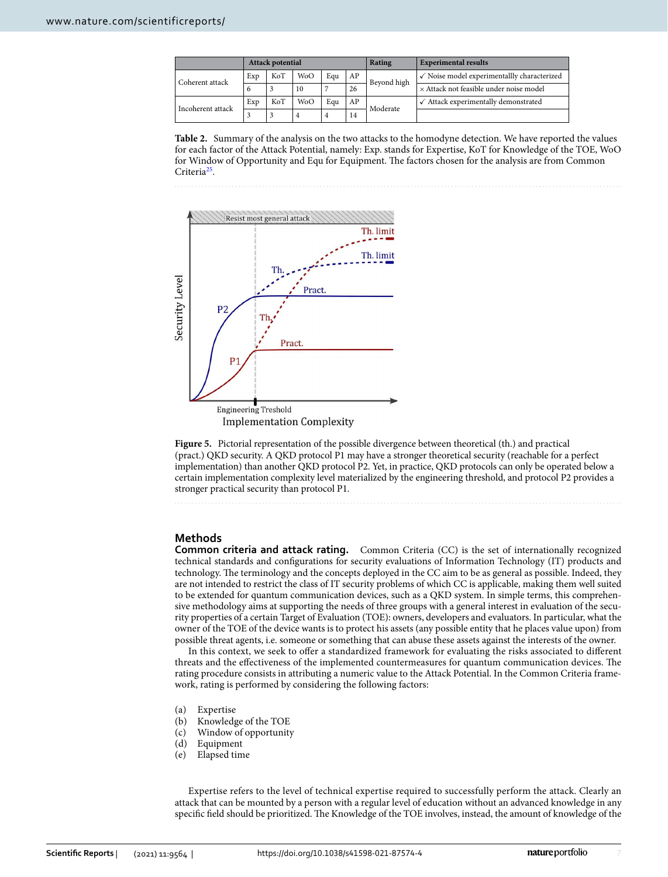|                   | <b>Attack potential</b> |     |                  |     |    | Rating      | <b>Experimental results</b>                            |
|-------------------|-------------------------|-----|------------------|-----|----|-------------|--------------------------------------------------------|
| Coherent attack   | Exp                     | KoT | <b>WoO</b>       | Eau | AP | Beyond high | $\checkmark$ Noise model experimentallly characterized |
|                   | $\sigma$                | 3   | 10               |     | 26 |             | × Attack not feasible under noise model                |
| Incoherent attack | Exp                     | KoT | W <sub>o</sub> O | Eau | AP | Moderate    | Attack experimentally demonstrated                     |
|                   |                         |     |                  | 4   | 14 |             |                                                        |

<span id="page-7-1"></span>**Table 2.** Summary of the analysis on the two attacks to the homodyne detection. We have reported the values for each factor of the Attack Potential, namely: Exp. stands for Expertise, KoT for Knowledge of the TOE, WoO for Window of Opportunity and Equ for Equipment. The factors chosen for the analysis are from Common Criteria<sup>[25](#page-11-20)</sup>.



<span id="page-7-0"></span>**Figure 5.** Pictorial representation of the possible divergence between theoretical (th.) and practical (pract.) QKD security. A QKD protocol P1 may have a stronger theoretical security (reachable for a perfect implementation) than another QKD protocol P2. Yet, in practice, QKD protocols can only be operated below a certain implementation complexity level materialized by the engineering threshold, and protocol P2 provides a stronger practical security than protocol P1.

#### **Methods**

**Common criteria and attack rating.** Common Criteria (CC) is the set of internationally recognized technical standards and configurations for security evaluations of Information Technology (IT) products and technology. The terminology and the concepts deployed in the CC aim to be as general as possible. Indeed, they are not intended to restrict the class of IT security problems of which CC is applicable, making them well suited to be extended for quantum communication devices, such as a QKD system. In simple terms, this comprehensive methodology aims at supporting the needs of three groups with a general interest in evaluation of the security properties of a certain Target of Evaluation (TOE): owners, developers and evaluators. In particular, what the owner of the TOE of the device wants is to protect his assets (any possible entity that he places value upon) from possible threat agents, i.e. someone or something that can abuse these assets against the interests of the owner.

In this context, we seek to offer a standardized framework for evaluating the risks associated to different threats and the effectiveness of the implemented countermeasures for quantum communication devices. The rating procedure consists in attributing a numeric value to the Attack Potential. In the Common Criteria framework, rating is performed by considering the following factors:

- (a) Expertise
- (b) Knowledge of the TOE
- (c) Window of opportunity
- (d) Equipment
- (e) Elapsed time

Expertise refers to the level of technical expertise required to successfully perform the attack. Clearly an attack that can be mounted by a person with a regular level of education without an advanced knowledge in any specific field should be prioritized. The Knowledge of the TOE involves, instead, the amount of knowledge of the

7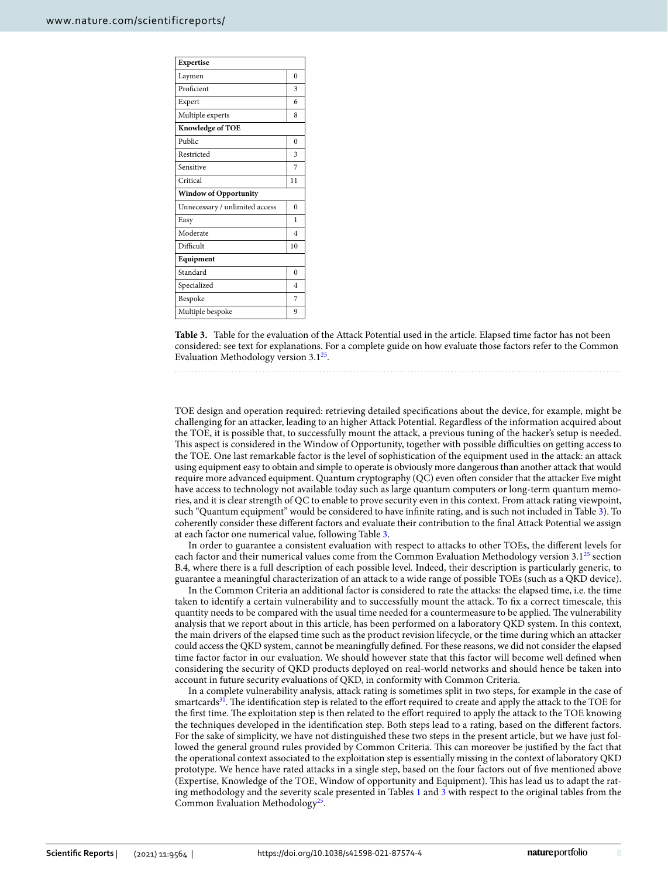| Expertise                      |                |  |  |  |  |  |
|--------------------------------|----------------|--|--|--|--|--|
| Laymen                         | $\theta$       |  |  |  |  |  |
| Proficient                     | 3              |  |  |  |  |  |
| Expert                         | 6              |  |  |  |  |  |
| Multiple experts               | 8              |  |  |  |  |  |
| Knowledge of TOE               |                |  |  |  |  |  |
| Public                         | $\theta$       |  |  |  |  |  |
| Restricted                     | 3              |  |  |  |  |  |
| Sensitive                      | 7              |  |  |  |  |  |
| Critical                       | 11             |  |  |  |  |  |
| <b>Window of Opportunity</b>   |                |  |  |  |  |  |
| Unnecessary / unlimited access | $\theta$       |  |  |  |  |  |
| Easy                           | 1              |  |  |  |  |  |
| Moderate                       | $\overline{4}$ |  |  |  |  |  |
| Difficult                      | 10             |  |  |  |  |  |
| Equipment                      |                |  |  |  |  |  |
| Standard                       | $\theta$       |  |  |  |  |  |
| Specialized                    | $\overline{4}$ |  |  |  |  |  |
| Bespoke                        | 7              |  |  |  |  |  |
| Multiple bespoke               | 9              |  |  |  |  |  |

<span id="page-8-0"></span>**Table 3.** Table for the evaluation of the Attack Potential used in the article. Elapsed time factor has not been considered: see text for explanations. For a complete guide on how evaluate those factors refer to the Common Evaluation Methodology version  $3.1^{25}$  $3.1^{25}$  $3.1^{25}$ .

TOE design and operation required: retrieving detailed specifications about the device, for example, might be challenging for an attacker, leading to an higher Attack Potential. Regardless of the information acquired about the TOE, it is possible that, to successfully mount the attack, a previous tuning of the hacker's setup is needed. This aspect is considered in the Window of Opportunity, together with possible difficulties on getting access to the TOE. One last remarkable factor is the level of sophistication of the equipment used in the attack: an attack using equipment easy to obtain and simple to operate is obviously more dangerous than another attack that would require more advanced equipment. Quantum cryptography (QC) even often consider that the attacker Eve might have access to technology not available today such as large quantum computers or long-term quantum memories, and it is clear strength of QC to enable to prove security even in this context. From attack rating viewpoint, such "Quantum equipment" would be considered to have infinite rating, and is such not included in Table [3\)](#page-8-0). To coherently consider these different factors and evaluate their contribution to the final Attack Potential we assign at each factor one numerical value, following Table [3.](#page-8-0)

In order to guarantee a consistent evaluation with respect to attacks to other TOEs, the different levels for each factor and their numerical values come from the Common Evaluation Methodology version  $3.1^{25}$  $3.1^{25}$  $3.1^{25}$  section B.4, where there is a full description of each possible level. Indeed, their description is particularly generic, to guarantee a meaningful characterization of an attack to a wide range of possible TOEs (such as a QKD device).

In the Common Criteria an additional factor is considered to rate the attacks: the elapsed time, i.e. the time taken to identify a certain vulnerability and to successfully mount the attack. To fix a correct timescale, this quantity needs to be compared with the usual time needed for a countermeasure to be applied. The vulnerability analysis that we report about in this article, has been performed on a laboratory QKD system. In this context, the main drivers of the elapsed time such as the product revision lifecycle, or the time during which an attacker could access the QKD system, cannot be meaningfully defined. For these reasons, we did not consider the elapsed time factor factor in our evaluation. We should however state that this factor will become well defined when considering the security of QKD products deployed on real-world networks and should hence be taken into account in future security evaluations of QKD, in conformity with Common Criteria.

In a complete vulnerability analysis, attack rating is sometimes split in two steps, for example in the case of smartcards<sup>[31](#page-11-26)</sup>. The identification step is related to the effort required to create and apply the attack to the TOE for the first time. The exploitation step is then related to the effort required to apply the attack to the TOE knowing the techniques developed in the identification step. Both steps lead to a rating, based on the different factors. For the sake of simplicity, we have not distinguished these two steps in the present article, but we have just followed the general ground rules provided by Common Criteria. This can moreover be justified by the fact that the operational context associated to the exploitation step is essentially missing in the context of laboratory QKD prototype. We hence have rated attacks in a single step, based on the four factors out of five mentioned above (Expertise, Knowledge of the TOE, Window of opportunity and Equipment). This has lead us to adapt the rating methodology and the severity scale presented in Tables [1](#page-2-0) and [3](#page-8-0) with respect to the original tables from the Common Evaluation Methodology<sup>[25](#page-11-20)</sup>.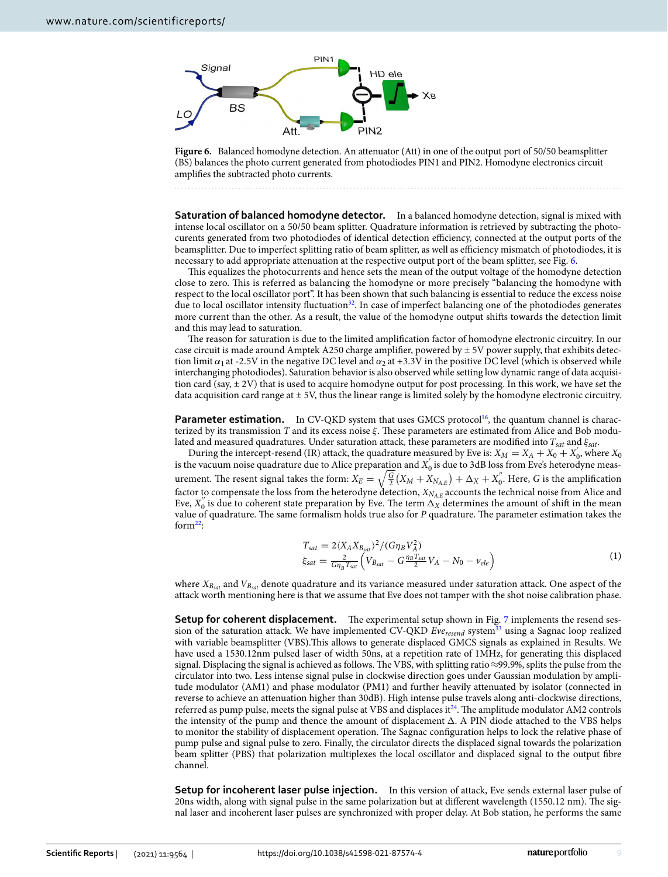

<span id="page-9-0"></span>**Figure 6.** Balanced homodyne detection. An attenuator (Att) in one of the output port of 50/50 beamsplitter (BS) balances the photo current generated from photodiodes PIN1 and PIN2. Homodyne electronics circuit amplifies the subtracted photo currents.

**Saturation of balanced homodyne detector.** In a balanced homodyne detection, signal is mixed with intense local oscillator on a 50/50 beam splitter. Quadrature information is retrieved by subtracting the photocurents generated from two photodiodes of identical detection efficiency, connected at the output ports of the beamsplitter. Due to imperfect splitting ratio of beam splitter, as well as efficiency mismatch of photodiodes, it is necessary to add appropriate attenuation at the respective output port of the beam splitter, see Fig. [6](#page-9-0).

This equalizes the photocurrents and hence sets the mean of the output voltage of the homodyne detection close to zero. This is referred as balancing the homodyne or more precisely "balancing the homodyne with respect to the local oscillator port". It has been shown that such balancing is essential to reduce the excess noise due to local oscillator intensity fluctuation<sup>[32](#page-11-27)</sup>. In case of imperfect balancing one of the photodiodes generates more current than the other. As a result, the value of the homodyne output shifts towards the detection limit and this may lead to saturation.

The reason for saturation is due to the limited amplification factor of homodyne electronic circuitry. In our case circuit is made around Amptek A250 charge amplifier, powered by  $\pm$  5V power supply, that exhibits detection limit  $\alpha_1$  at -2.5V in the negative DC level and  $\alpha_2$  at +3.3V in the positive DC level (which is observed while interchanging photodiodes). Saturation behavior is also observed while setting low dynamic range of data acquisition card (say, ± 2V) that is used to acquire homodyne output for post processing. In this work, we have set the data acquisition card range at  $\pm$  5V, thus the linear range is limited solely by the homodyne electronic circuitry.

**Parameter estimation.** In CV-QKD system that uses GMCS protocol<sup>[16](#page-11-13)</sup>, the quantum channel is characterized by its transmission T and its excess noise  $\xi$ . These parameters are estimated from Alice and Bob modulated and measured quadratures. Under saturation attack, these parameters are modified into  $T_{sat}$  and  $\xi_{sat}$ .

During the intercept-resend (IR) attack, the quadrature measured by Eve is:  $X_M = X_A + X_0 + X_0$ , where  $X_0$ is the vacuum noise quadrature due to Alice preparation and  $X_0^{'}$  is due to 3dB loss from Eve's heterodyne measurement. The resent signal takes the form:  $X_E=\sqrt{\frac{G}{2}}\big(X_M+X_{N_{A,E}}\big)+\Delta_X+X_0^{''}.$  Here, G is the amplification factor to compensate the loss from the heterodyne detection,  $X_{N_{A,E}}$  accounts the technical noise from Alice and Eve,  $X_0''$  is due to coherent state preparation by Eve. The term  $\Delta_X^{(1)}$  determines the amount of shift in the mean value of quadrature. The same formalism holds true also for P quadrature. The parameter estimation takes the form $22$ :

$$
T_{sat} = 2\langle X_A X_{B_{sat}} \rangle^2 / (G \eta_B V_A^2) \n\xi_{sat} = \frac{2}{G \eta_B T_{sat}} \left( V_{B_{sat}} - G \frac{\eta_B T_{sat}}{2} V_A - N_0 - v_{ele} \right)
$$
\n(1)

where  $X_{B_{sat}}$  and  $V_{B_{sat}}$  denote quadrature and its variance measured under saturation attack. One aspect of the attack worth mentioning here is that we assume that Eve does not tamper with the shot noise calibration phase.

**Setup for coherent displacement.** The experimental setup shown in Fig. [7](#page-10-0) implements the resend session of the saturation attack. We have implemented CV-QKD  $Eve_{resend}$  system<sup>[33](#page-11-28)</sup> using a Sagnac loop realized with variable beamsplitter (VBS).This allows to generate displaced GMCS signals as explained in Results. We have used a 1530.12nm pulsed laser of width 50ns, at a repetition rate of 1MHz, for generating this displaced signal. Displacing the signal is achieved as follows. The VBS, with splitting ratio ≈99.9% , splits the pulse from the circulator into two. Less intense signal pulse in clockwise direction goes under Gaussian modulation by amplitude modulator (AM1) and phase modulator (PM1) and further heavily attenuated by isolator (connected in reverse to achieve an attenuation higher than 30dB). High intense pulse travels along anti-clockwise directions, referred as pump pulse, meets the signal pulse at VBS and displaces it[24](#page-11-19). The amplitude modulator AM2 controls the intensity of the pump and thence the amount of displacement  $\Delta$ . A PIN diode attached to the VBS helps to monitor the stability of displacement operation. The Sagnac configuration helps to lock the relative phase of pump pulse and signal pulse to zero. Finally, the circulator directs the displaced signal towards the polarization beam splitter (PBS) that polarization multiplexes the local oscillator and displaced signal to the output fibre channel.

**Setup for incoherent laser pulse injection.** In this version of attack, Eve sends external laser pulse of 20ns width, along with signal pulse in the same polarization but at different wavelength (1550.12 nm). The signal laser and incoherent laser pulses are synchronized with proper delay. At Bob station, he performs the same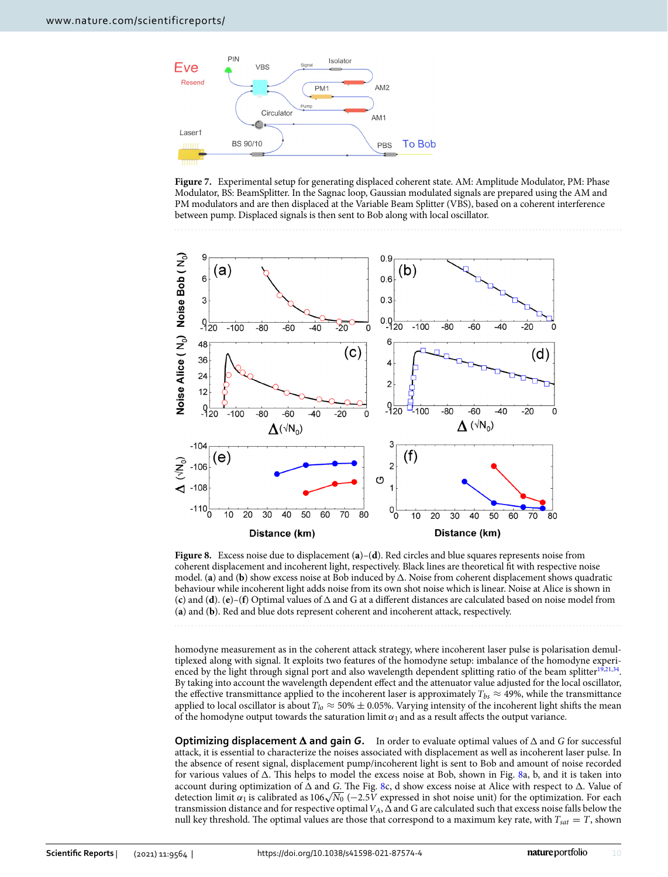

<span id="page-10-0"></span>**Figure 7.** Experimental setup for generating displaced coherent state. AM: Amplitude Modulator, PM: Phase Modulator, BS: BeamSplitter. In the Sagnac loop, Gaussian modulated signals are prepared using the AM and PM modulators and are then displaced at the Variable Beam Splitter (VBS), based on a coherent interference between pump. Displaced signals is then sent to Bob along with local oscillator.



<span id="page-10-1"></span>**Figure 8.** Excess noise due to displacement (**a**)–(**d**). Red circles and blue squares represents noise from coherent displacement and incoherent light, respectively. Black lines are theoretical fit with respective noise model. (a) and (b) show excess noise at Bob induced by  $\Delta$ . Noise from coherent displacement shows quadratic behaviour while incoherent light adds noise from its own shot noise which is linear. Noise at Alice is shown in  $(c)$  and  $(d)$ .  $(e)$ – $(f)$  Optimal values of  $\Delta$  and  $G$  at a different distances are calculated based on noise model from (**a**) and (**b**). Red and blue dots represent coherent and incoherent attack, respectively.

homodyne measurement as in the coherent attack strategy, where incoherent laser pulse is polarisation demultiplexed along with signal. It exploits two features of the homodyne setup: imbalance of the homodyne experi-enced by the light through signal port and also wavelength dependent splitting ratio of the beam splitter<sup>[19](#page-11-29),[21](#page-11-16),[34](#page-11-30)</sup>. By taking into account the wavelength dependent effect and the attenuator value adjusted for the local oscillator, the effective transmittance applied to the incoherent laser is approximately  $T_{bs} \approx 49\%$ , while the transmittance applied to local oscillator is about  $T_{lo} \approx 50\% \pm 0.05\%$ . Varying intensity of the incoherent light shifts the mean of the homodyne output towards the saturation limit  $\alpha_1$  and as a result affects the output variance.

**Optimizing displacement**  $\Delta$  **and gain**  $G$ **.** In order to evaluate optimal values of  $\Delta$  and  $G$  for successful attack, it is essential to characterize the noises associated with displacement as well as incoherent laser pulse. In the absence of resent signal, displacement pump/incoherent light is sent to Bob and amount of noise recorded for various values of  $\Delta$ . This helps to model the excess noise at Bob, shown in Fig. [8](#page-10-1)a, b, and it is taken into account during optimization of  $\Delta$  and G. The Fig. [8c](#page-10-1), d show excess noise at Alice with respect to  $\Delta$ . Value of detection limit  $\alpha_1$  is calibrated as 106 $\sqrt{N_0}$  (–2.5V expressed in shot noise unit) for the optimization. For each transmission distance and for respective optimal  $V_A$ ,  $\Delta$  and G are calculated such that excess noise falls below the null key threshold. The optimal values are those that correspond to a maximum key rate, with  $T_{sat} = T$ , shown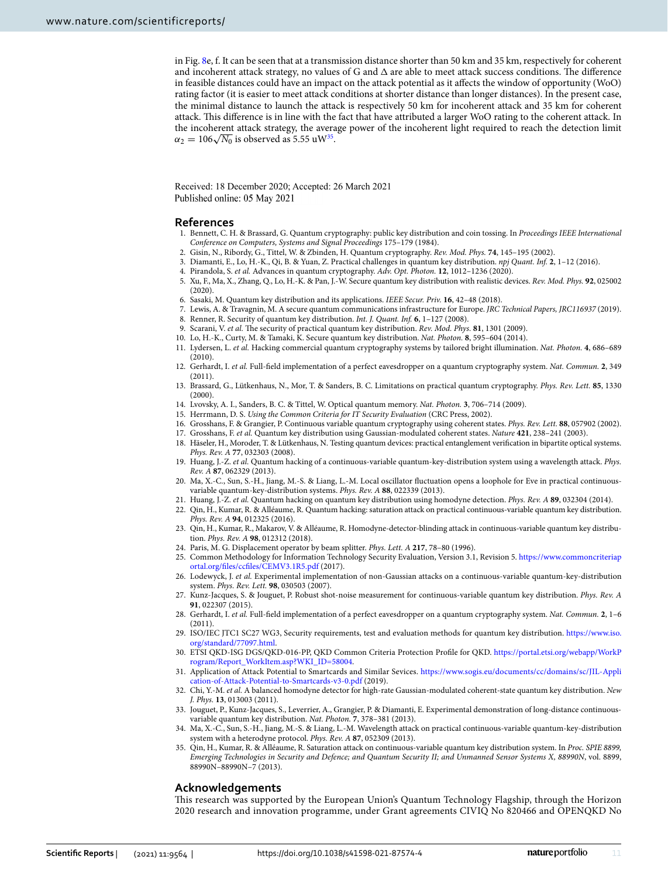in Fig. [8](#page-10-1)e, f. It can be seen that at a transmission distance shorter than 50 km and 35 km, respectively for coherent and incoherent attack strategy, no values of G and  $\Delta$  are able to meet attack success conditions. The difference in feasible distances could have an impact on the attack potential as it affects the window of opportunity (WoO) rating factor (it is easier to meet attack conditions at shorter distance than longer distances). In the present case, the minimal distance to launch the attack is respectively 50 km for incoherent attack and 35 km for coherent attack. This difference is in line with the fact that have attributed a larger WoO rating to the coherent attack. In the incoherent attack strategy, the average power of the incoherent light required to reach the detection limit  $\alpha_2 = 106\sqrt{N_0}$  is observed as 5.55 uW<sup>[35](#page-11-31)</sup>.

Received: 18 December 2020; Accepted: 26 March 2021 Published online: 05 May 2021

#### **References**

- <span id="page-11-0"></span>Bennett, C. H. & Brassard, G. Quantum cryptography: public key distribution and coin tossing. In Proceedings IEEE International Conference on Computers, Systems and Signal Proceedings 175–179 (1984).
- <span id="page-11-1"></span>2. Gisin, N., Ribordy, G., Tittel, W. & Zbinden, H. Quantum cryptography. Rev. Mod. Phys. **74**, 145–195 (2002).
- <span id="page-11-2"></span>3. Diamanti, E., Lo, H.-K., Qi, B. & Yuan, Z. Practical challenges in quantum key distribution. npj Quant. Inf. **2**, 1–12 (2016).
- 4. Pirandola, S. et al. Advances in quantum cryptography. Adv. Opt. Photon. **12**, 1012–1236 (2020).
- <span id="page-11-3"></span> 5. Xu, F., Ma, X., Zhang, Q., Lo, H.-K. & Pan, J.-W. Secure quantum key distribution with realistic devices. Rev. Mod. Phys. **92**, 025002  $(2020)$
- <span id="page-11-4"></span>6. Sasaki, M. Quantum key distribution and its applications. IEEE Secur. Priv. **16**, 42–48 (2018).
- <span id="page-11-6"></span><span id="page-11-5"></span>7. Lewis, A. & Travagnin, M. A secure quantum communications infrastructure for Europe. JRC Technical Papers, JRC116937 (2019).
- 8. Renner, R. Security of quantum key distribution. Int. J. Quant. Inf. **6**, 1–127 (2008).
- 9. Scarani, V. et al. The security of practical quantum key distribution. Rev. Mod. Phys. **81**, 1301 (2009).
- <span id="page-11-7"></span>10. Lo, H.-K., Curty, M. & Tamaki, K. Secure quantum key distribution. Nat. Photon. **8**, 595–604 (2014).
- <span id="page-11-8"></span> 11. Lydersen, L. et al. Hacking commercial quantum cryptography systems by tailored bright illumination. Nat. Photon. **4**, 686–689  $(2010)$
- <span id="page-11-9"></span> 12. Gerhardt, I. et al. Full-field implementation of a perfect eavesdropper on a quantum cryptography system. Nat. Commun. **2**, 349 (2011).
- <span id="page-11-10"></span> 13. Brassard, G., Lütkenhaus, N., Mor, T. & Sanders, B. C. Limitations on practical quantum cryptography. Phys. Rev. Lett. **85**, 1330 (2000).
- <span id="page-11-11"></span>14. Lvovsky, A. I., Sanders, B. C. & Tittel, W. Optical quantum memory. Nat. Photon. **3**, 706–714 (2009).
- <span id="page-11-12"></span>15. Herrmann, D. S. Using the Common Criteria for IT Security Evaluation (CRC Press, 2002).
- <span id="page-11-13"></span>16. Grosshans, F. & Grangier, P. Continuous variable quantum cryptography using coherent states. Phys. Rev. Lett. **88**, 057902 (2002).
- <span id="page-11-14"></span>17. Grosshans, F. et al. Quantum key distribution using Gaussian-modulated coherent states. Nature **421**, 238–241 (2003).
- <span id="page-11-15"></span> 18. Häseler, H., Moroder, T. & Lütkenhaus, N. Testing quantum devices: practical entanglement verification in bipartite optical systems. Phys. Rev. A **77**, 032303 (2008).
- <span id="page-11-29"></span>19. Huang, J.-Z. et al. Quantum hacking of a continuous-variable quantum-key-distribution system using a wavelength attack. Phys. Rev. A **87**, 062329 (2013).
- 20. Ma, X.-C., Sun, S.-H., Jiang, M.-S. & Liang, L.-M. Local oscillator fluctuation opens a loophole for Eve in practical continuousvariable quantum-key-distribution systems. Phys. Rev. A **88**, 022339 (2013).
- <span id="page-11-16"></span>21. Huang, J.-Z. et al. Quantum hacking on quantum key distribution using homodyne detection. Phys. Rev. A **89**, 032304 (2014).
- <span id="page-11-17"></span> 22. Qin, H., Kumar, R. & Alléaume, R. Quantum hacking: saturation attack on practical continuous-variable quantum key distribution. Phys. Rev. A **94**, 012325 (2016).
- <span id="page-11-18"></span> 23. Qin, H., Kumar, R., Makarov, V. & Alléaume, R. Homodyne-detector-blinding attack in continuous-variable quantum key distribution. Phys. Rev. A **98**, 012312 (2018).
- <span id="page-11-19"></span>24. Paris, M. G. Displacement operator by beam splitter. Phys. Lett. A **217**, 78–80 (1996).
- <span id="page-11-20"></span>25. Common Methodology for Information Technology Security Evaluation, Version 3.1, Revision 5. https://www.commoncriteriap ortal.org/files/ccfiles/CEMV3.1R5.pdf (2017).
- <span id="page-11-21"></span> 26. Lodewyck, J. et al. Experimental implementation of non-Gaussian attacks on a continuous-variable quantum-key-distribution system. Phys. Rev. Lett. **98**, 030503 (2007).
- <span id="page-11-22"></span> 27. Kunz-Jacques, S. & Jouguet, P. Robust shot-noise measurement for continuous-variable quantum key distribution. Phys. Rev. A **91**, 022307 (2015).
- <span id="page-11-23"></span> 28. Gerhardt, I. et al. Full-field implementation of a perfect eavesdropper on a quantum cryptography system. Nat. Commun. **2**, 1–6 (2011).
- <span id="page-11-24"></span> 29. ISO/IEC JTC1 SC27 WG3, Security requirements, test and evaluation methods for quantum key distribution. [https:// www. iso.](https://www.iso.org/standard/77097.html) org/standard/77097.html.
- <span id="page-11-25"></span> 30. ETSI QKD-ISG DGS/QKD-016-PP, QKD Common Criteria Protection Profile for QKD. [https:// portal. etsi. org/ webapp/ WorkP](https://portal.etsi.org/webapp/WorkProgram/Report_WorkItem.asp?WKI_ID=58004) rogram/Report\_WorkItem.asp?WKI\_ID=58004.
- <span id="page-11-26"></span>31. Application of Attack Potential to Smartcards and Similar Sevices. https://www.sogis.eu/documents/cc/domains/sc/JIL-Appli cation-of-Attack-Potential-to-Smartcards-v3-0.pdf (2019).
- <span id="page-11-27"></span>32. Chi, Y.-M. et al. A balanced homodyne detector for high-rate Gaussian-modulated coherent-state quantum key distribution. New J. Phys. **13**, 013003 (2011).
- <span id="page-11-28"></span> 33. Jouguet, P., Kunz-Jacques, S., Leverrier, A., Grangier, P. & Diamanti, E. Experimental demonstration of long-distance continuousvariable quantum key distribution. Nat. Photon. **7**, 378–381 (2013).
- <span id="page-11-30"></span> 34. Ma, X.-C., Sun, S.-H., Jiang, M.-S. & Liang, L.-M. Wavelength attack on practical continuous-variable quantum-key-distribution system with a heterodyne protocol. Phys. Rev. A **87**, 052309 (2013).
- <span id="page-11-31"></span> 35. Qin, H., Kumar, R. & Alléaume, R. Saturation attack on continuous-variable quantum key distribution system. In Proc. SPIE 8899, Emerging Technologies in Security and Defence; and Quantum Security II; and Unmanned Sensor Systems X, 88990N, vol. 8899, 88990N–88990N–7 (2013).

#### **Acknowledgements**

This research was supported by the European Union's Quantum Technology Flagship, through the Horizon 2020 research and innovation programme, under Grant agreements CIVIQ No 820466 and OPENQKD No